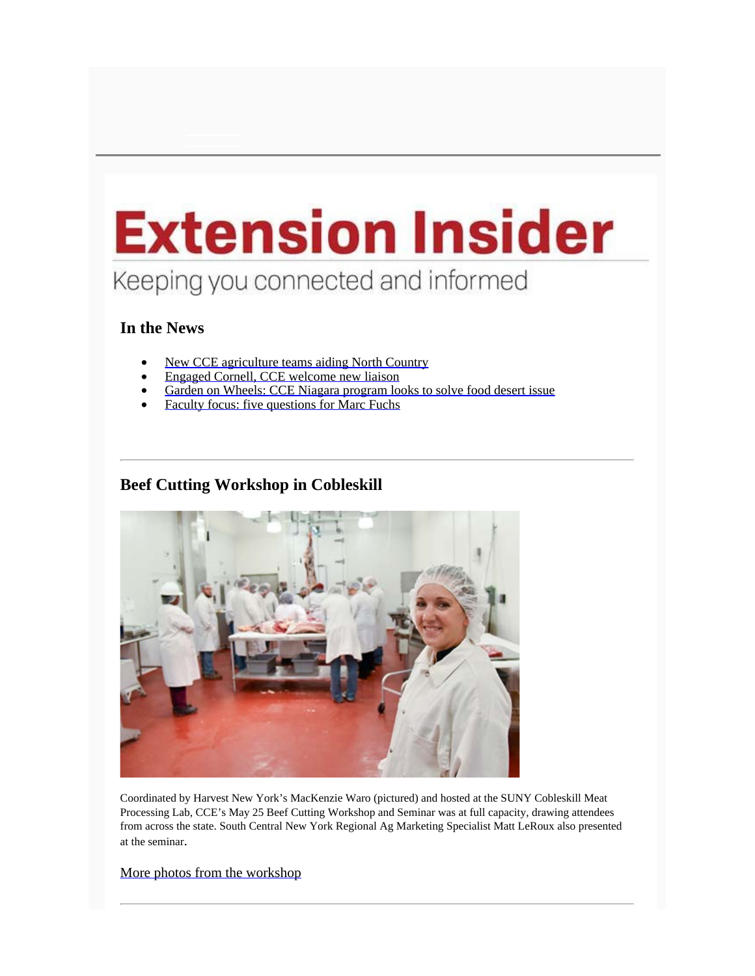# **Extension Insider** Keeping you connected and informed

#### **In the News**

- New CCE [agriculture](http://www.news.cornell.edu/stories/2016/06/new-extension-ag-teams-aid-nys-north-country) teams aiding North Country
- Engaged Cornell, CCE [welcome](http://www.news.cornell.edu/stories/2016/05/engaged-cornell-extension-welcome-new-liaison) new liaison
- Garden on Wheels: CCE Niagara [program](http://wivb.com/2016/05/25/garden-on-wheels-new-program-wants-to-solve-food-desert-issue-in-niagara-falls/) looks to solve food desert issue
- Faculty focus: five [questions](http://cornellcooperativeextension.tumblr.com/post/145573049874/faculty-focus-five-questions-for-marc-fuchs) for Marc Fuchs

# **Beef Cutting Workshop in Cobleskill**



Coordinated by Harvest New York's MacKenzie Waro (pictured) and hosted at the SUNY Cobleskill Meat Processing Lab, CCE's May 25 Beef Cutting Workshop and Seminar was at full capacity, drawing attendees from across the state. South Central New York Regional Ag Marketing Specialist Matt LeRoux also presented at the seminar.

#### More photos from the [workshop](https://www.facebook.com/CornellCooperativeExtension/photos/?tab=album&album_id=1154887694532925)